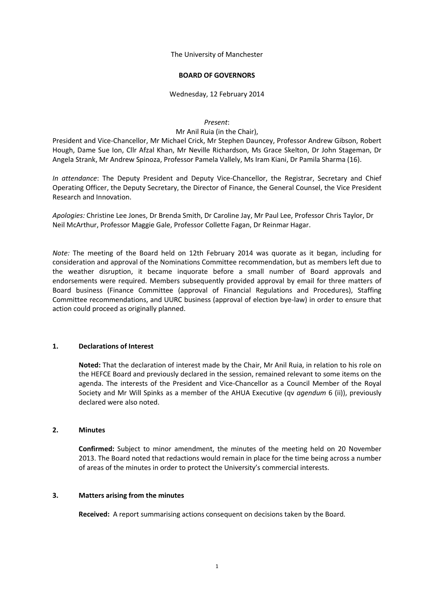The University of Manchester

### **BOARD OF GOVERNORS**

# Wednesday, 12 February 2014

#### *Present*:

#### Mr Anil Ruia (in the Chair),

President and Vice-Chancellor, Mr Michael Crick, Mr Stephen Dauncey, Professor Andrew Gibson, Robert Hough, Dame Sue Ion, Cllr Afzal Khan, Mr Neville Richardson, Ms Grace Skelton, Dr John Stageman, Dr Angela Strank, Mr Andrew Spinoza, Professor Pamela Vallely, Ms Iram Kiani, Dr Pamila Sharma (16).

*In attendance*: The Deputy President and Deputy Vice-Chancellor, the Registrar, Secretary and Chief Operating Officer, the Deputy Secretary, the Director of Finance, the General Counsel, the Vice President Research and Innovation.

*Apologies:* Christine Lee Jones, Dr Brenda Smith, Dr Caroline Jay, Mr Paul Lee, Professor Chris Taylor, Dr Neil McArthur, Professor Maggie Gale, Professor Collette Fagan, Dr Reinmar Hagar.

*Note:* The meeting of the Board held on 12th February 2014 was quorate as it began, including for consideration and approval of the Nominations Committee recommendation, but as members left due to the weather disruption, it became inquorate before a small number of Board approvals and endorsements were required. Members subsequently provided approval by email for three matters of Board business (Finance Committee (approval of Financial Regulations and Procedures), Staffing Committee recommendations, and UURC business (approval of election bye-law) in order to ensure that action could proceed as originally planned.

# **1. Declarations of Interest**

**Noted:** That the declaration of interest made by the Chair, Mr Anil Ruia, in relation to his role on the HEFCE Board and previously declared in the session, remained relevant to some items on the agenda. The interests of the President and Vice-Chancellor as a Council Member of the Royal Society and Mr Will Spinks as a member of the AHUA Executive (qv *agendum* 6 (ii)), previously declared were also noted.

### **2. Minutes**

**Confirmed:** Subject to minor amendment, the minutes of the meeting held on 20 November 2013. The Board noted that redactions would remain in place for the time being across a number of areas of the minutes in order to protect the University's commercial interests.

# **3. Matters arising from the minutes**

**Received:** A report summarising actions consequent on decisions taken by the Board.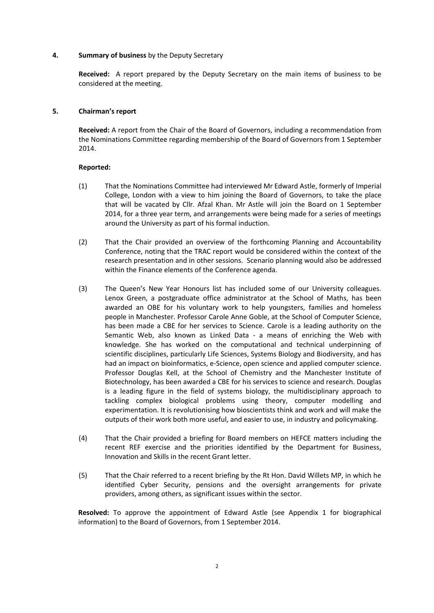# **4. Summary of business** by the Deputy Secretary

**Received:** A report prepared by the Deputy Secretary on the main items of business to be considered at the meeting.

# **5. Chairman's report**

**Received:** A report from the Chair of the Board of Governors, including a recommendation from the Nominations Committee regarding membership of the Board of Governors from 1 September 2014.

# **Reported:**

- (1) That the Nominations Committee had interviewed Mr Edward Astle, formerly of Imperial College, London with a view to him joining the Board of Governors, to take the place that will be vacated by Cllr. Afzal Khan. Mr Astle will join the Board on 1 September 2014, for a three year term, and arrangements were being made for a series of meetings around the University as part of his formal induction.
- (2) That the Chair provided an overview of the forthcoming Planning and Accountability Conference, noting that the TRAC report would be considered within the context of the research presentation and in other sessions. Scenario planning would also be addressed within the Finance elements of the Conference agenda.
- (3) The Queen's New Year Honours list has included some of our University colleagues. Lenox Green, a postgraduate office administrator at the School of Maths, has been awarded an OBE for his voluntary work to help youngsters, families and homeless people in Manchester. Professor Carole Anne Goble, at the School of Computer Science, has been made a CBE for her services to Science. Carole is a leading authority on the Semantic Web, also known as Linked Data - a means of enriching the Web with knowledge. She has worked on the computational and technical underpinning of scientific disciplines, particularly Life Sciences, Systems Biology and Biodiversity, and has had an impact on bioinformatics, e-Science, open science and applied computer science. Professor Douglas Kell, at the School of Chemistry and the Manchester Institute of Biotechnology, has been awarded a CBE for his services to science and research. Douglas is a leading figure in the field of systems biology, the multidisciplinary approach to tackling complex biological problems using theory, computer modelling and experimentation. It is revolutionising how bioscientists think and work and will make the outputs of their work both more useful, and easier to use, in industry and policymaking.
- (4) That the Chair provided a briefing for Board members on HEFCE matters including the recent REF exercise and the priorities identified by the Department for Business, Innovation and Skills in the recent Grant letter.
- (5) That the Chair referred to a recent briefing by the Rt Hon. David Willets MP, in which he identified Cyber Security, pensions and the oversight arrangements for private providers, among others, as significant issues within the sector.

**Resolved:** To approve the appointment of Edward Astle (see Appendix 1 for biographical information) to the Board of Governors, from 1 September 2014.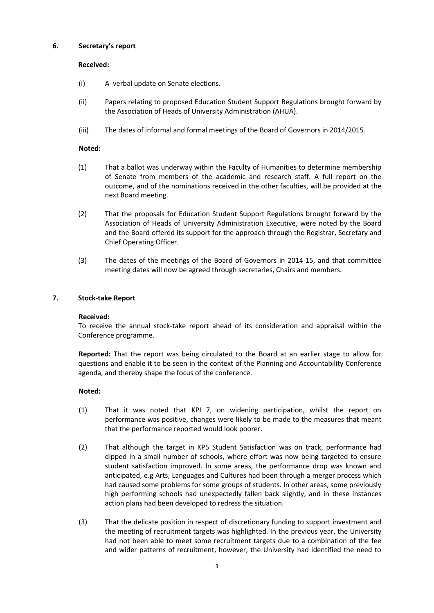# **6. Secretary's report**

## **Received:**

- (i) A verbal update on Senate elections.
- (ii) Papers relating to proposed Education Student Support Regulations brought forward by the Association of Heads of University Administration (AHUA).
- (iii) The dates of informal and formal meetings of the Board of Governors in 2014/2015.

# **Noted:**

- (1) That a ballot was underway within the Faculty of Humanities to determine membership of Senate from members of the academic and research staff. A full report on the outcome, and of the nominations received in the other faculties, will be provided at the next Board meeting.
- (2) That the proposals for Education Student Support Regulations brought forward by the Association of Heads of University Administration Executive, were noted by the Board and the Board offered its support for the approach through the Registrar, Secretary and Chief Operating Officer.
- (3) The dates of the meetings of the Board of Governors in 2014-15, and that committee meeting dates will now be agreed through secretaries, Chairs and members.

# **7. Stock-take Report**

### **Received:**

To receive the annual stock-take report ahead of its consideration and appraisal within the Conference programme.

**Reported:** That the report was being circulated to the Board at an earlier stage to allow for questions and enable it to be seen in the context of the Planning and Accountability Conference agenda, and thereby shape the focus of the conference.

### **Noted:**

- (1) That it was noted that KPI 7, on widening participation, whilst the report on performance was positive, changes were likely to be made to the measures that meant that the performance reported would look poorer.
- (2) That although the target in KP5 Student Satisfaction was on track, performance had dipped in a small number of schools, where effort was now being targeted to ensure student satisfaction improved. In some areas, the performance drop was known and anticipated, e.g Arts, Languages and Cultures had been through a merger process which had caused some problems for some groups of students. In other areas, some previously high performing schools had unexpectedly fallen back slightly, and in these instances action plans had been developed to redress the situation.
- (3) That the delicate position in respect of discretionary funding to support investment and the meeting of recruitment targets was highlighted. In the previous year, the University had not been able to meet some recruitment targets due to a combination of the fee and wider patterns of recruitment, however, the University had identified the need to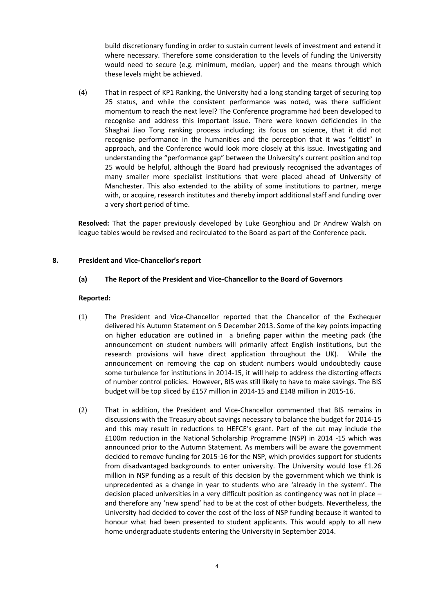build discretionary funding in order to sustain current levels of investment and extend it where necessary. Therefore some consideration to the levels of funding the University would need to secure (e.g. minimum, median, upper) and the means through which these levels might be achieved.

(4) That in respect of KP1 Ranking, the University had a long standing target of securing top 25 status, and while the consistent performance was noted, was there sufficient momentum to reach the next level? The Conference programme had been developed to recognise and address this important issue. There were known deficiencies in the Shaghai Jiao Tong ranking process including; its focus on science, that it did not recognise performance in the humanities and the perception that it was "elitist" in approach, and the Conference would look more closely at this issue. Investigating and understanding the "performance gap" between the University's current position and top 25 would be helpful, although the Board had previously recognised the advantages of many smaller more specialist institutions that were placed ahead of University of Manchester. This also extended to the ability of some institutions to partner, merge with, or acquire, research institutes and thereby import additional staff and funding over a very short period of time.

**Resolved:** That the paper previously developed by Luke Georghiou and Dr Andrew Walsh on league tables would be revised and recirculated to the Board as part of the Conference pack.

# **8. President and Vice-Chancellor's report**

# **(a) The Report of the President and Vice-Chancellor to the Board of Governors**

- (1) The President and Vice-Chancellor reported that the Chancellor of the Exchequer delivered his Autumn Statement on 5 December 2013. Some of the key points impacting on higher education are outlined in a briefing paper within the meeting pack (the announcement on student numbers will primarily affect English institutions, but the research provisions will have direct application throughout the UK). While the announcement on removing the cap on student numbers would undoubtedly cause some turbulence for institutions in 2014-15, it will help to address the distorting effects of number control policies. However, BIS was still likely to have to make savings. The BIS budget will be top sliced by £157 million in 2014-15 and £148 million in 2015-16.
- (2) That in addition, the President and Vice-Chancellor commented that BIS remains in discussions with the Treasury about savings necessary to balance the budget for 2014-15 and this may result in reductions to HEFCE's grant. Part of the cut may include the £100m reduction in the National Scholarship Programme (NSP) in 2014 -15 which was announced prior to the Autumn Statement. As members will be aware the government decided to remove funding for 2015-16 for the NSP, which provides support for students from disadvantaged backgrounds to enter university. The University would lose £1.26 million in NSP funding as a result of this decision by the government which we think is unprecedented as a change in year to students who are 'already in the system'. The decision placed universities in a very difficult position as contingency was not in place – and therefore any 'new spend' had to be at the cost of other budgets. Nevertheless, the University had decided to cover the cost of the loss of NSP funding because it wanted to honour what had been presented to student applicants. This would apply to all new home undergraduate students entering the University in September 2014.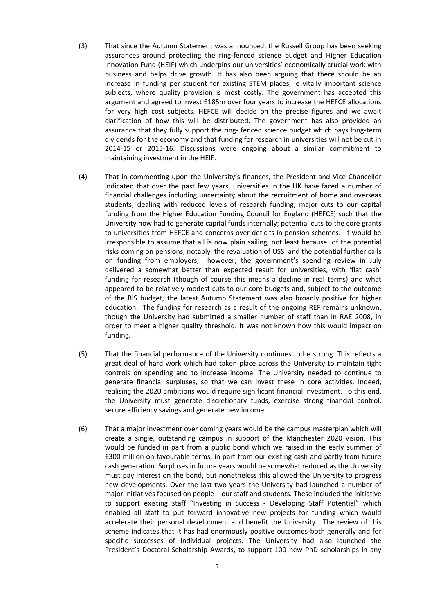- (3) That since the Autumn Statement was announced, the Russell Group has been seeking assurances around protecting the ring-fenced science budget and Higher Education Innovation Fund (HEIF) which underpins our universities' economically crucial work with business and helps drive growth. It has also been arguing that there should be an increase in funding per student for existing STEM places, ie vitally important science subjects, where quality provision is most costly. The government has accepted this argument and agreed to invest £185m over four years to increase the HEFCE allocations for very high cost subjects. HEFCE will decide on the precise figures and we await clarification of how this will be distributed. The government has also provided an assurance that they fully support the ring- fenced science budget which pays long-term dividends for the economy and that funding for research in universities will not be cut in 2014-15 or 2015-16. Discussions were ongoing about a similar commitment to maintaining investment in the HEIF.
- (4) That in commenting upon the University's finances, the President and Vice-Chancellor indicated that over the past few years, universities in the UK have faced a number of financial challenges including uncertainty about the recruitment of home and overseas students; dealing with reduced levels of research funding; major cuts to our capital funding from the Higher Education Funding Council for England (HEFCE) such that the University now had to generate capital funds internally; potential cuts to the core grants to universities from HEFCE and concerns over deficits in pension schemes. It would be irresponsible to assume that all is now plain sailing, not least because of the potential risks coming on pensions, notably the revaluation of USS and the potential further calls on funding from employers, however, the government's spending review in July delivered a somewhat better than expected result for universities, with 'flat cash' funding for research (though of course this means a decline in real terms) and what appeared to be relatively modest cuts to our core budgets and, subject to the outcome of the BIS budget, the latest Autumn Statement was also broadly positive for higher education. The funding for research as a result of the ongoing REF remains unknown, though the University had submitted a smaller number of staff than in RAE 2008, in order to meet a higher quality threshold. It was not known how this would impact on funding.
- (5) That the financial performance of the University continues to be strong. This reflects a great deal of hard work which had taken place across the University to maintain tight controls on spending and to increase income. The University needed to continue to generate financial surpluses, so that we can invest these in core activities. Indeed, realising the 2020 ambitions would require significant financial investment. To this end, the University must generate discretionary funds, exercise strong financial control, secure efficiency savings and generate new income.
- (6) That a major investment over coming years would be the campus masterplan which will create a single, outstanding campus in support of the Manchester 2020 vision. This would be funded in part from a public bond which we raised in the early summer of £300 million on favourable terms, in part from our existing cash and partly from future cash generation. Surpluses in future years would be somewhat reduced as the University must pay interest on the bond, but nonetheless this allowed the University to progress new developments. Over the last two years the University had launched a number of major initiatives focused on people – our staff and students. These included the initiative to support existing staff "Investing in Success - Developing Staff Potential" which enabled all staff to put forward innovative new projects for funding which would accelerate their personal development and benefit the University. The review of this scheme indicates that it has had enormously positive outcomes-both generally and for specific successes of individual projects. The University had also launched the President's Doctoral Scholarship Awards, to support 100 new PhD scholarships in any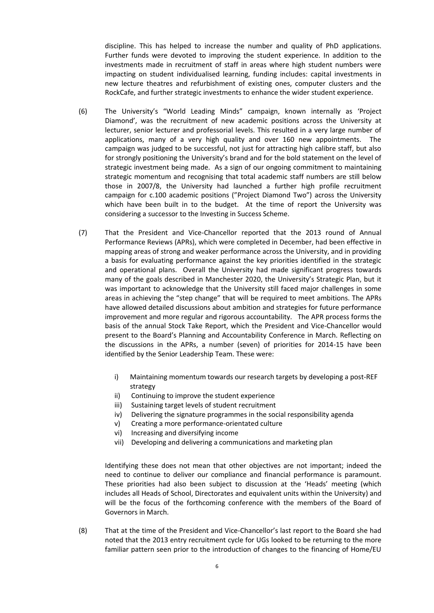discipline. This has helped to increase the number and quality of PhD applications. Further funds were devoted to improving the student experience. In addition to the investments made in recruitment of staff in areas where high student numbers were impacting on student individualised learning, funding includes: capital investments in new lecture theatres and refurbishment of existing ones, computer clusters and the RockCafe, and further strategic investments to enhance the wider student experience.

- (6) The University's "World Leading Minds" campaign, known internally as 'Project Diamond', was the recruitment of new academic positions across the University at lecturer, senior lecturer and professorial levels. This resulted in a very large number of applications, many of a very high quality and over 160 new appointments. The campaign was judged to be successful, not just for attracting high calibre staff, but also for strongly positioning the University's brand and for the bold statement on the level of strategic investment being made. As a sign of our ongoing commitment to maintaining strategic momentum and recognising that total academic staff numbers are still below those in 2007/8, the University had launched a further high profile recruitment campaign for c.100 academic positions ("Project Diamond Two") across the University which have been built in to the budget. At the time of report the University was considering a successor to the Investing in Success Scheme.
- (7) That the President and Vice-Chancellor reported that the 2013 round of Annual Performance Reviews (APRs), which were completed in December, had been effective in mapping areas of strong and weaker performance across the University, and in providing a basis for evaluating performance against the key priorities identified in the strategic and operational plans. Overall the University had made significant progress towards many of the goals described in Manchester 2020, the University's Strategic Plan, but it was important to acknowledge that the University still faced major challenges in some areas in achieving the "step change" that will be required to meet ambitions. The APRs have allowed detailed discussions about ambition and strategies for future performance improvement and more regular and rigorous accountability. The APR process forms the basis of the annual Stock Take Report, which the President and Vice-Chancellor would present to the Board's Planning and Accountability Conference in March. Reflecting on the discussions in the APRs, a number (seven) of priorities for 2014-15 have been identified by the Senior Leadership Team. These were:
	- i) Maintaining momentum towards our research targets by developing a post-REF strategy
	- ii) Continuing to improve the student experience
	- iii) Sustaining target levels of student recruitment
	- iv) Delivering the signature programmes in the social responsibility agenda
	- v) Creating a more performance-orientated culture
	- vi) Increasing and diversifying income
	- vii) Developing and delivering a communications and marketing plan

Identifying these does not mean that other objectives are not important; indeed the need to continue to deliver our compliance and financial performance is paramount. These priorities had also been subject to discussion at the 'Heads' meeting (which includes all Heads of School, Directorates and equivalent units within the University) and will be the focus of the forthcoming conference with the members of the Board of Governors in March.

(8) That at the time of the President and Vice-Chancellor's last report to the Board she had noted that the 2013 entry recruitment cycle for UGs looked to be returning to the more familiar pattern seen prior to the introduction of changes to the financing of Home/EU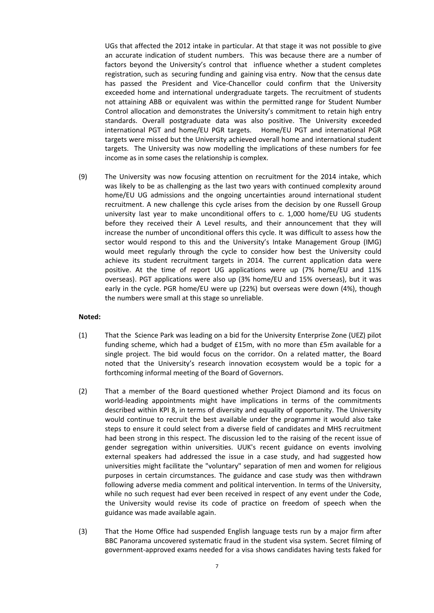UGs that affected the 2012 intake in particular. At that stage it was not possible to give an accurate indication of student numbers. This was because there are a number of factors beyond the University's control that influence whether a student completes registration, such as securing funding and gaining visa entry. Now that the census date has passed the President and Vice-Chancellor could confirm that the University exceeded home and international undergraduate targets. The recruitment of students not attaining ABB or equivalent was within the permitted range for Student Number Control allocation and demonstrates the University's commitment to retain high entry standards. Overall postgraduate data was also positive. The University exceeded international PGT and home/EU PGR targets. Home/EU PGT and international PGR targets were missed but the University achieved overall home and international student targets. The University was now modelling the implications of these numbers for fee income as in some cases the relationship is complex.

(9) The University was now focusing attention on recruitment for the 2014 intake, which was likely to be as challenging as the last two years with continued complexity around home/EU UG admissions and the ongoing uncertainties around international student recruitment. A new challenge this cycle arises from the decision by one Russell Group university last year to make unconditional offers to c. 1,000 home/EU UG students before they received their A Level results, and their announcement that they will increase the number of unconditional offers this cycle. It was difficult to assess how the sector would respond to this and the University's Intake Management Group (IMG) would meet regularly through the cycle to consider how best the University could achieve its student recruitment targets in 2014. The current application data were positive. At the time of report UG applications were up (7% home/EU and 11% overseas). PGT applications were also up (3% home/EU and 15% overseas), but it was early in the cycle. PGR home/EU were up (22%) but overseas were down (4%), though the numbers were small at this stage so unreliable.

### **Noted:**

- (1) That the Science Park was leading on a bid for the University Enterprise Zone (UEZ) pilot funding scheme, which had a budget of £15m, with no more than £5m available for a single project. The bid would focus on the corridor. On a related matter, the Board noted that the University's research innovation ecosystem would be a topic for a forthcoming informal meeting of the Board of Governors.
- (2) That a member of the Board questioned whether Project Diamond and its focus on world-leading appointments might have implications in terms of the commitments described within KPI 8, in terms of diversity and equality of opportunity. The University would continue to recruit the best available under the programme it would also take steps to ensure it could select from a diverse field of candidates and MHS recruitment had been strong in this respect. The discussion led to the raising of the recent issue of gender segregation within universities. UUK's recent guidance on events involving external speakers had addressed the issue in a case study, and had suggested how universities might facilitate the "voluntary" separation of men and women for religious purposes in certain circumstances. The guidance and case study was then withdrawn following adverse media comment and political intervention. In terms of the University, while no such request had ever been received in respect of any event under the Code, the University would revise its code of practice on freedom of speech when the guidance was made available again.
- (3) That the Home Office had suspended English language tests run by a major firm after BBC Panorama uncovered systematic fraud in the student visa system. Secret filming of government-approved exams needed for a visa shows candidates having tests faked for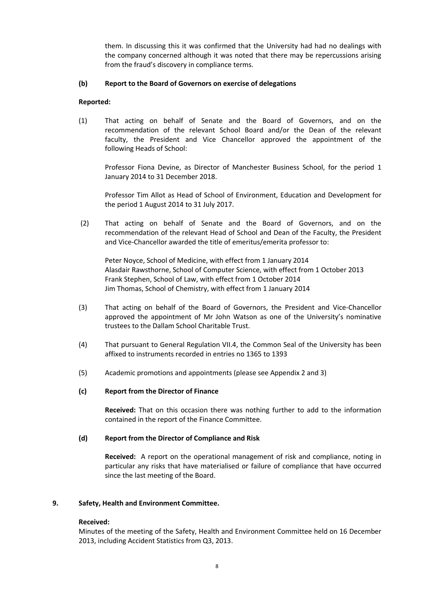them. In discussing this it was confirmed that the University had had no dealings with the company concerned although it was noted that there may be repercussions arising from the fraud's discovery in compliance terms.

# **(b) Report to the Board of Governors on exercise of delegations**

# **Reported:**

(1) That acting on behalf of Senate and the Board of Governors, and on the recommendation of the relevant School Board and/or the Dean of the relevant faculty, the President and Vice Chancellor approved the appointment of the following Heads of School:

Professor Fiona Devine, as Director of Manchester Business School, for the period 1 January 2014 to 31 December 2018.

Professor Tim Allot as Head of School of Environment, Education and Development for the period 1 August 2014 to 31 July 2017.

(2) That acting on behalf of Senate and the Board of Governors, and on the recommendation of the relevant Head of School and Dean of the Faculty, the President and Vice-Chancellor awarded the title of emeritus/emerita professor to:

Peter Noyce, School of Medicine, with effect from 1 January 2014 Alasdair Rawsthorne, School of Computer Science, with effect from 1 October 2013 Frank Stephen, School of Law, with effect from 1 October 2014 Jim Thomas, School of Chemistry, with effect from 1 January 2014

- (3) That acting on behalf of the Board of Governors, the President and Vice-Chancellor approved the appointment of Mr John Watson as one of the University's nominative trustees to the Dallam School Charitable Trust.
- (4) That pursuant to General Regulation VII.4, the Common Seal of the University has been affixed to instruments recorded in entries no 1365 to 1393
- (5) Academic promotions and appointments (please see Appendix 2 and 3)

### **(c) Report from the Director of Finance**

**Received:** That on this occasion there was nothing further to add to the information contained in the report of the Finance Committee.

### **(d) Report from the Director of Compliance and Risk**

**Received:** A report on the operational management of risk and compliance, noting in particular any risks that have materialised or failure of compliance that have occurred since the last meeting of the Board.

### **9. Safety, Health and Environment Committee.**

### **Received:**

Minutes of the meeting of the Safety, Health and Environment Committee held on 16 December 2013, including Accident Statistics from Q3, 2013.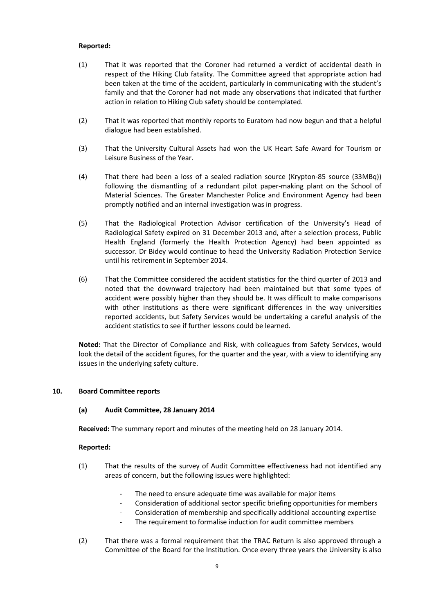# **Reported:**

- (1) That it was reported that the Coroner had returned a verdict of accidental death in respect of the Hiking Club fatality. The Committee agreed that appropriate action had been taken at the time of the accident, particularly in communicating with the student's family and that the Coroner had not made any observations that indicated that further action in relation to Hiking Club safety should be contemplated.
- (2) That It was reported that monthly reports to Euratom had now begun and that a helpful dialogue had been established.
- (3) That the University Cultural Assets had won the UK Heart Safe Award for Tourism or Leisure Business of the Year.
- (4) That there had been a loss of a sealed radiation source (Krypton-85 source (33MBq)) following the dismantling of a redundant pilot paper-making plant on the School of Material Sciences. The Greater Manchester Police and Environment Agency had been promptly notified and an internal investigation was in progress.
- (5) That the Radiological Protection Advisor certification of the University's Head of Radiological Safety expired on 31 December 2013 and, after a selection process, Public Health England (formerly the Health Protection Agency) had been appointed as successor. Dr Bidey would continue to head the University Radiation Protection Service until his retirement in September 2014.
- (6) That the Committee considered the accident statistics for the third quarter of 2013 and noted that the downward trajectory had been maintained but that some types of accident were possibly higher than they should be. It was difficult to make comparisons with other institutions as there were significant differences in the way universities reported accidents, but Safety Services would be undertaking a careful analysis of the accident statistics to see if further lessons could be learned.

**Noted:** That the Director of Compliance and Risk, with colleagues from Safety Services, would look the detail of the accident figures, for the quarter and the year, with a view to identifying any issues in the underlying safety culture.

### **10. Board Committee reports**

### **(a) Audit Committee, 28 January 2014**

**Received:** The summary report and minutes of the meeting held on 28 January 2014.

- (1) That the results of the survey of Audit Committee effectiveness had not identified any areas of concern, but the following issues were highlighted:
	- The need to ensure adequate time was available for major items
	- Consideration of additional sector specific briefing opportunities for members
	- Consideration of membership and specifically additional accounting expertise
	- The requirement to formalise induction for audit committee members
- (2) That there was a formal requirement that the TRAC Return is also approved through a Committee of the Board for the Institution. Once every three years the University is also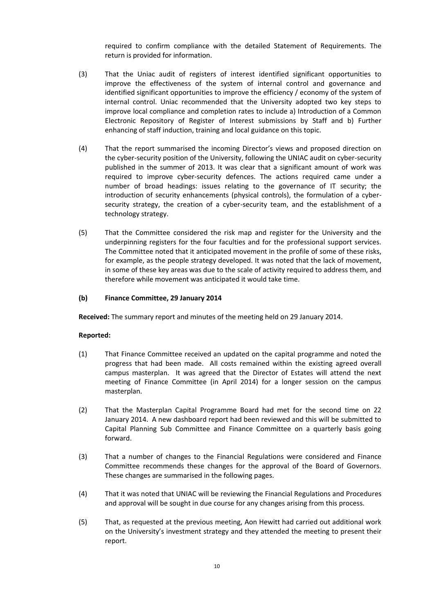required to confirm compliance with the detailed Statement of Requirements. The return is provided for information.

- (3) That the Uniac audit of registers of interest identified significant opportunities to improve the effectiveness of the system of internal control and governance and identified significant opportunities to improve the efficiency / economy of the system of internal control. Uniac recommended that the University adopted two key steps to improve local compliance and completion rates to include a) Introduction of a Common Electronic Repository of Register of Interest submissions by Staff and b) Further enhancing of staff induction, training and local guidance on this topic.
- (4) That the report summarised the incoming Director's views and proposed direction on the cyber-security position of the University, following the UNIAC audit on cyber-security published in the summer of 2013. It was clear that a significant amount of work was required to improve cyber-security defences. The actions required came under a number of broad headings: issues relating to the governance of IT security; the introduction of security enhancements (physical controls), the formulation of a cybersecurity strategy, the creation of a cyber-security team, and the establishment of a technology strategy.
- (5) That the Committee considered the risk map and register for the University and the underpinning registers for the four faculties and for the professional support services. The Committee noted that it anticipated movement in the profile of some of these risks, for example, as the people strategy developed. It was noted that the lack of movement, in some of these key areas was due to the scale of activity required to address them, and therefore while movement was anticipated it would take time.

#### **(b) Finance Committee, 29 January 2014**

**Received:** The summary report and minutes of the meeting held on 29 January 2014.

- (1) That Finance Committee received an updated on the capital programme and noted the progress that had been made. All costs remained within the existing agreed overall campus masterplan. It was agreed that the Director of Estates will attend the next meeting of Finance Committee (in April 2014) for a longer session on the campus masterplan.
- (2) That the Masterplan Capital Programme Board had met for the second time on 22 January 2014. A new dashboard report had been reviewed and this will be submitted to Capital Planning Sub Committee and Finance Committee on a quarterly basis going forward.
- (3) That a number of changes to the Financial Regulations were considered and Finance Committee recommends these changes for the approval of the Board of Governors. These changes are summarised in the following pages.
- (4) That it was noted that UNIAC will be reviewing the Financial Regulations and Procedures and approval will be sought in due course for any changes arising from this process.
- (5) That, as requested at the previous meeting, Aon Hewitt had carried out additional work on the University's investment strategy and they attended the meeting to present their report.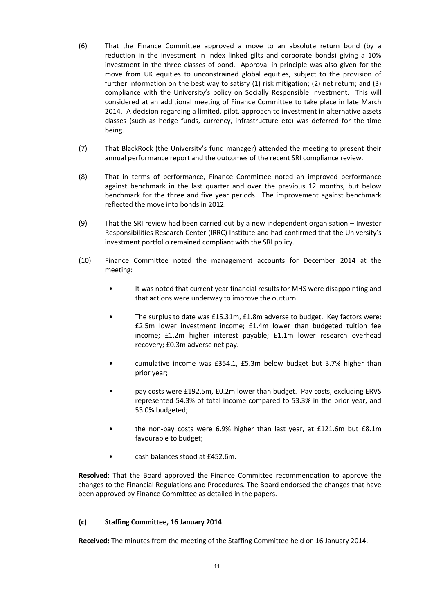- (6) That the Finance Committee approved a move to an absolute return bond (by a reduction in the investment in index linked gilts and corporate bonds) giving a 10% investment in the three classes of bond. Approval in principle was also given for the move from UK equities to unconstrained global equities, subject to the provision of further information on the best way to satisfy (1) risk mitigation; (2) net return; and (3) compliance with the University's policy on Socially Responsible Investment. This will considered at an additional meeting of Finance Committee to take place in late March 2014. A decision regarding a limited, pilot, approach to investment in alternative assets classes (such as hedge funds, currency, infrastructure etc) was deferred for the time being.
- (7) That BlackRock (the University's fund manager) attended the meeting to present their annual performance report and the outcomes of the recent SRI compliance review.
- (8) That in terms of performance, Finance Committee noted an improved performance against benchmark in the last quarter and over the previous 12 months, but below benchmark for the three and five year periods. The improvement against benchmark reflected the move into bonds in 2012.
- (9) That the SRI review had been carried out by a new independent organisation Investor Responsibilities Research Center (IRRC) Institute and had confirmed that the University's investment portfolio remained compliant with the SRI policy.
- (10) Finance Committee noted the management accounts for December 2014 at the meeting:
	- It was noted that current year financial results for MHS were disappointing and that actions were underway to improve the outturn.
	- The surplus to date was £15.31m, £1.8m adverse to budget. Key factors were: £2.5m lower investment income; £1.4m lower than budgeted tuition fee income; £1.2m higher interest payable; £1.1m lower research overhead recovery; £0.3m adverse net pay.
	- cumulative income was £354.1, £5.3m below budget but 3.7% higher than prior year;
	- pay costs were £192.5m, £0.2m lower than budget. Pay costs, excluding ERVS represented 54.3% of total income compared to 53.3% in the prior year, and 53.0% budgeted;
	- the non-pay costs were 6.9% higher than last year, at £121.6m but £8.1m favourable to budget;
	- cash balances stood at £452.6m.

**Resolved:** That the Board approved the Finance Committee recommendation to approve the changes to the Financial Regulations and Procedures. The Board endorsed the changes that have been approved by Finance Committee as detailed in the papers.

# **(c) Staffing Committee, 16 January 2014**

**Received:** The minutes from the meeting of the Staffing Committee held on 16 January 2014.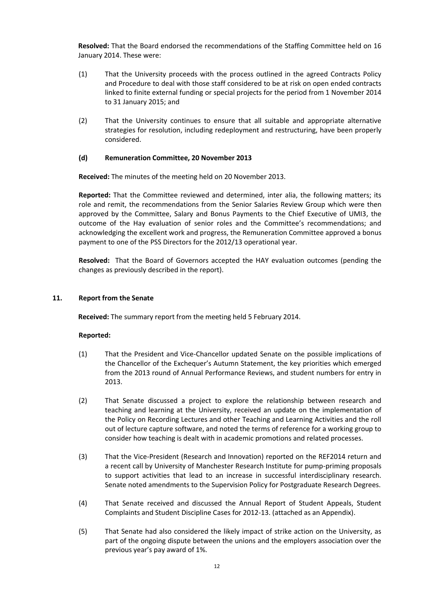**Resolved:** That the Board endorsed the recommendations of the Staffing Committee held on 16 January 2014. These were:

- (1) That the University proceeds with the process outlined in the agreed Contracts Policy and Procedure to deal with those staff considered to be at risk on open ended contracts linked to finite external funding or special projects for the period from 1 November 2014 to 31 January 2015; and
- (2) That the University continues to ensure that all suitable and appropriate alternative strategies for resolution, including redeployment and restructuring, have been properly considered.

#### **(d) Remuneration Committee, 20 November 2013**

**Received:** The minutes of the meeting held on 20 November 2013.

**Reported:** That the Committee reviewed and determined, inter alia, the following matters; its role and remit, the recommendations from the Senior Salaries Review Group which were then approved by the Committee, Salary and Bonus Payments to the Chief Executive of UMI3, the outcome of the Hay evaluation of senior roles and the Committee's recommendations; and acknowledging the excellent work and progress, the Remuneration Committee approved a bonus payment to one of the PSS Directors for the 2012/13 operational year.

**Resolved:** That the Board of Governors accepted the HAY evaluation outcomes (pending the changes as previously described in the report).

#### **11. Report from the Senate**

**Received:** The summary report from the meeting held 5 February 2014.

- (1) That the President and Vice-Chancellor updated Senate on the possible implications of the Chancellor of the Exchequer's Autumn Statement, the key priorities which emerged from the 2013 round of Annual Performance Reviews, and student numbers for entry in 2013.
- (2) That Senate discussed a project to explore the relationship between research and teaching and learning at the University, received an update on the implementation of the Policy on Recording Lectures and other Teaching and Learning Activities and the roll out of lecture capture software, and noted the terms of reference for a working group to consider how teaching is dealt with in academic promotions and related processes.
- (3) That the Vice-President (Research and Innovation) reported on the REF2014 return and a recent call by University of Manchester Research Institute for pump-priming proposals to support activities that lead to an increase in successful interdisciplinary research. Senate noted amendments to the Supervision Policy for Postgraduate Research Degrees.
- (4) That Senate received and discussed the Annual Report of Student Appeals, Student Complaints and Student Discipline Cases for 2012-13. (attached as an Appendix).
- (5) That Senate had also considered the likely impact of strike action on the University, as part of the ongoing dispute between the unions and the employers association over the previous year's pay award of 1%.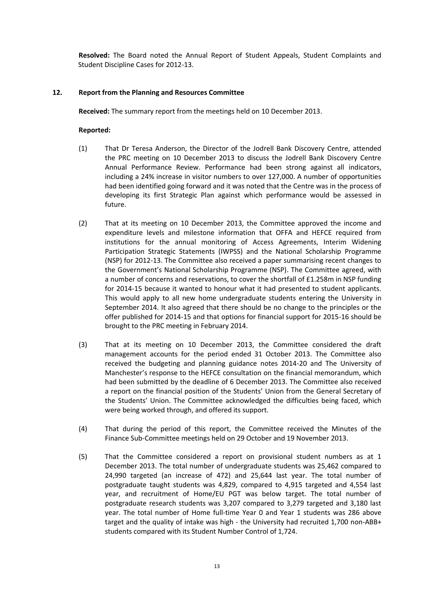**Resolved:** The Board noted the Annual Report of Student Appeals, Student Complaints and Student Discipline Cases for 2012-13.

# **12. Report from the Planning and Resources Committee**

**Received:** The summary report from the meetings held on 10 December 2013.

- (1) That Dr Teresa Anderson, the Director of the Jodrell Bank Discovery Centre, attended the PRC meeting on 10 December 2013 to discuss the Jodrell Bank Discovery Centre Annual Performance Review. Performance had been strong against all indicators, including a 24% increase in visitor numbers to over 127,000. A number of opportunities had been identified going forward and it was noted that the Centre was in the process of developing its first Strategic Plan against which performance would be assessed in future.
- (2) That at its meeting on 10 December 2013, the Committee approved the income and expenditure levels and milestone information that OFFA and HEFCE required from institutions for the annual monitoring of Access Agreements, Interim Widening Participation Strategic Statements (IWPSS) and the National Scholarship Programme (NSP) for 2012-13. The Committee also received a paper summarising recent changes to the Government's National Scholarship Programme (NSP). The Committee agreed, with a number of concerns and reservations, to cover the shortfall of £1.258m in NSP funding for 2014-15 because it wanted to honour what it had presented to student applicants. This would apply to all new home undergraduate students entering the University in September 2014. It also agreed that there should be no change to the principles or the offer published for 2014-15 and that options for financial support for 2015-16 should be brought to the PRC meeting in February 2014.
- (3) That at its meeting on 10 December 2013, the Committee considered the draft management accounts for the period ended 31 October 2013. The Committee also received the budgeting and planning guidance notes 2014-20 and The University of Manchester's response to the HEFCE consultation on the financial memorandum, which had been submitted by the deadline of 6 December 2013. The Committee also received a report on the financial position of the Students' Union from the General Secretary of the Students' Union. The Committee acknowledged the difficulties being faced, which were being worked through, and offered its support.
- (4) That during the period of this report, the Committee received the Minutes of the Finance Sub-Committee meetings held on 29 October and 19 November 2013.
- (5) That the Committee considered a report on provisional student numbers as at 1 December 2013. The total number of undergraduate students was 25,462 compared to 24,990 targeted (an increase of 472) and 25,644 last year. The total number of postgraduate taught students was 4,829, compared to 4,915 targeted and 4,554 last year, and recruitment of Home/EU PGT was below target. The total number of postgraduate research students was 3,207 compared to 3,279 targeted and 3,180 last year. The total number of Home full-time Year 0 and Year 1 students was 286 above target and the quality of intake was high - the University had recruited 1,700 non-ABB+ students compared with its Student Number Control of 1,724.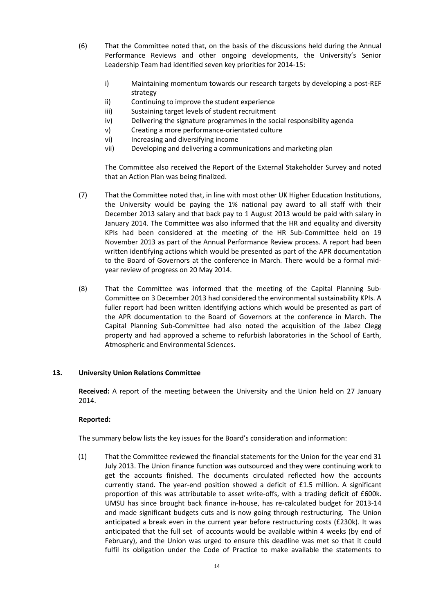- (6) That the Committee noted that, on the basis of the discussions held during the Annual Performance Reviews and other ongoing developments, the University's Senior Leadership Team had identified seven key priorities for 2014-15:
	- i) Maintaining momentum towards our research targets by developing a post-REF strategy
	- ii) Continuing to improve the student experience
	- iii) Sustaining target levels of student recruitment
	- iv) Delivering the signature programmes in the social responsibility agenda
	- v) Creating a more performance-orientated culture
	- vi) Increasing and diversifying income
	- vii) Developing and delivering a communications and marketing plan

The Committee also received the Report of the External Stakeholder Survey and noted that an Action Plan was being finalized.

- (7) That the Committee noted that, in line with most other UK Higher Education Institutions, the University would be paying the 1% national pay award to all staff with their December 2013 salary and that back pay to 1 August 2013 would be paid with salary in January 2014. The Committee was also informed that the HR and equality and diversity KPIs had been considered at the meeting of the HR Sub-Committee held on 19 November 2013 as part of the Annual Performance Review process. A report had been written identifying actions which would be presented as part of the APR documentation to the Board of Governors at the conference in March. There would be a formal midyear review of progress on 20 May 2014.
- (8) That the Committee was informed that the meeting of the Capital Planning Sub-Committee on 3 December 2013 had considered the environmental sustainability KPIs. A fuller report had been written identifying actions which would be presented as part of the APR documentation to the Board of Governors at the conference in March. The Capital Planning Sub-Committee had also noted the acquisition of the Jabez Clegg property and had approved a scheme to refurbish laboratories in the School of Earth, Atmospheric and Environmental Sciences.

# **13. University Union Relations Committee**

**Received:** A report of the meeting between the University and the Union held on 27 January 2014.

# **Reported:**

The summary below lists the key issues for the Board's consideration and information:

(1) That the Committee reviewed the financial statements for the Union for the year end 31 July 2013. The Union finance function was outsourced and they were continuing work to get the accounts finished. The documents circulated reflected how the accounts currently stand. The year-end position showed a deficit of £1.5 million. A significant proportion of this was attributable to asset write-offs, with a trading deficit of £600k. UMSU has since brought back finance in-house, has re-calculated budget for 2013-14 and made significant budgets cuts and is now going through restructuring. The Union anticipated a break even in the current year before restructuring costs (£230k). It was anticipated that the full set of accounts would be available within 4 weeks (by end of February), and the Union was urged to ensure this deadline was met so that it could fulfil its obligation under the Code of Practice to make available the statements to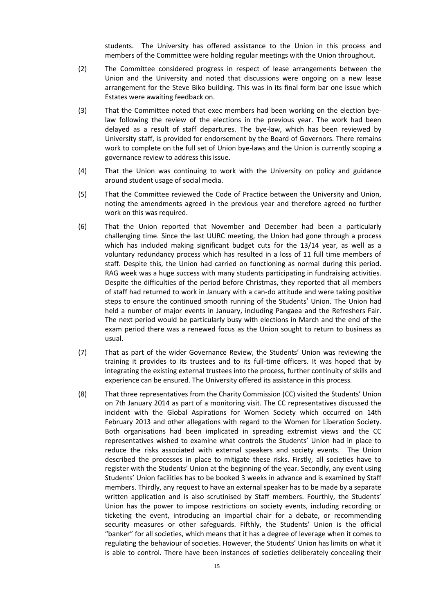students. The University has offered assistance to the Union in this process and members of the Committee were holding regular meetings with the Union throughout.

- (2) The Committee considered progress in respect of lease arrangements between the Union and the University and noted that discussions were ongoing on a new lease arrangement for the Steve Biko building. This was in its final form bar one issue which Estates were awaiting feedback on.
- (3) That the Committee noted that exec members had been working on the election byelaw following the review of the elections in the previous year. The work had been delayed as a result of staff departures. The bye-law, which has been reviewed by University staff, is provided for endorsement by the Board of Governors. There remains work to complete on the full set of Union bye-laws and the Union is currently scoping a governance review to address this issue.
- (4) That the Union was continuing to work with the University on policy and guidance around student usage of social media.
- (5) That the Committee reviewed the Code of Practice between the University and Union, noting the amendments agreed in the previous year and therefore agreed no further work on this was required.
- (6) That the Union reported that November and December had been a particularly challenging time. Since the last UURC meeting, the Union had gone through a process which has included making significant budget cuts for the 13/14 year, as well as a voluntary redundancy process which has resulted in a loss of 11 full time members of staff. Despite this, the Union had carried on functioning as normal during this period. RAG week was a huge success with many students participating in fundraising activities. Despite the difficulties of the period before Christmas, they reported that all members of staff had returned to work in January with a can-do attitude and were taking positive steps to ensure the continued smooth running of the Students' Union. The Union had held a number of major events in January, including Pangaea and the Refreshers Fair. The next period would be particularly busy with elections in March and the end of the exam period there was a renewed focus as the Union sought to return to business as usual.
- (7) That as part of the wider Governance Review, the Students' Union was reviewing the training it provides to its trustees and to its full-time officers. It was hoped that by integrating the existing external trustees into the process, further continuity of skills and experience can be ensured. The University offered its assistance in this process.
- (8) That three representatives from the Charity Commission (CC) visited the Students' Union on 7th January 2014 as part of a monitoring visit. The CC representatives discussed the incident with the Global Aspirations for Women Society which occurred on 14th February 2013 and other allegations with regard to the Women for Liberation Society. Both organisations had been implicated in spreading extremist views and the CC representatives wished to examine what controls the Students' Union had in place to reduce the risks associated with external speakers and society events. The Union described the processes in place to mitigate these risks. Firstly, all societies have to register with the Students' Union at the beginning of the year. Secondly, any event using Students' Union facilities has to be booked 3 weeks in advance and is examined by Staff members. Thirdly, any request to have an external speaker has to be made by a separate written application and is also scrutinised by Staff members. Fourthly, the Students' Union has the power to impose restrictions on society events, including recording or ticketing the event, introducing an impartial chair for a debate, or recommending security measures or other safeguards. Fifthly, the Students' Union is the official "banker" for all societies, which means that it has a degree of leverage when it comes to regulating the behaviour of societies. However, the Students' Union has limits on what it is able to control. There have been instances of societies deliberately concealing their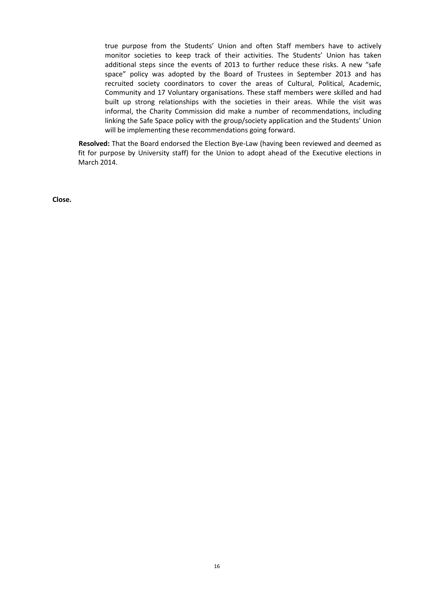true purpose from the Students' Union and often Staff members have to actively monitor societies to keep track of their activities. The Students' Union has taken additional steps since the events of 2013 to further reduce these risks. A new "safe space" policy was adopted by the Board of Trustees in September 2013 and has recruited society coordinators to cover the areas of Cultural, Political, Academic, Community and 17 Voluntary organisations. These staff members were skilled and had built up strong relationships with the societies in their areas. While the visit was informal, the Charity Commission did make a number of recommendations, including linking the Safe Space policy with the group/society application and the Students' Union will be implementing these recommendations going forward.

**Resolved:** That the Board endorsed the Election Bye-Law (having been reviewed and deemed as fit for purpose by University staff) for the Union to adopt ahead of the Executive elections in March 2014.

**Close.**